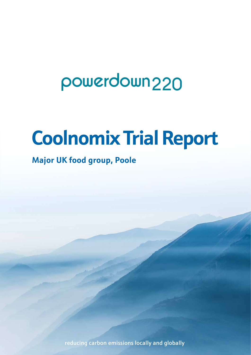## powerdown<sub>220</sub>

# **Coolnomix Trial Report**

## **Major UK food group, Poole**

reducing carbon emissions locally and globally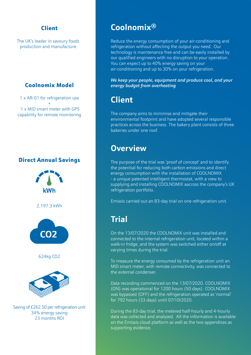#### Client

The UK's leader in savoury foods production and manufacture

#### Coolnomix Model

1 x AR-01 for refrigeration use + 1 x MID smart meter with GPS capability for remote monitoring

#### Direct Annual Savings



Saving of £262.50 per refrigeration unit 34% energy saving 23 months ROI

## **Coolnomix®**

Reduce the energy consumption of your air-conditioning and refrigeration without affecting the output you need. Our technology is maintenance free and can be easily installed by our qualified engineers with no disruption to your operation. You can expect up to 40% energy saving on your air-conditioning and up to 30% on your refrigeration.

*We keep your people, equipment and produce cool, and your energy budget from overheating*

## **Client**

The company aims to minimise and mitigate their environmental footprint and have adopted several responsible practices across the business. The bakery plant consists of three bakeries under one roof.

## **Overview**

The purpose of the trial was 'proof of concept' and to identify the potential for reducing both carbon emissions and direct energy consumption with the installation of COOLNOMIX - a unique patented intelligent thermostat, with a view to supplying and installing COOLNOMIX aacross the company's UK refrigeration portfolio.

Emissis carried out an 83-day trial on one refrigeration unit.

## **Trial**

On the 13/07/2020 the COOLNOMIX unit was installed and connected to the internal refrigeration unit, located within a walk-in fridge, and the system was switched either on/off at varying times during the trial.

To measure the energy consumed by the refrigeration unit an MID smart meter, with remote connectivity, was connected to the external condenser.

Data recording commenced on the 13/07/2020. COOLNOMIX (ON) was operational for 1200 hours (50 days). COOLNOMIX was bypassed (OFF) and the refrigeration operated as 'normal' for 792 hours (33 days) until 07/10/2020.

During the 83-day trial, the metered half-hourly and 4-hourly data was collected and analysed. All the information is available on the Emissis cloud platform as well as the two appendices as supporting evidence.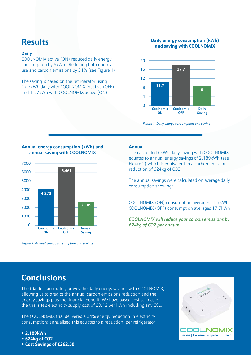## **Results**

#### **Daily**

COOLNOMIX active (ON) reduced daily energy consumption by 6kWh. Reducing both energy use and carbon emissions by 34% (see Figure 1).

The saving is based on the refrigerator using 17.7kWh daily with COOLNOMIX inactive (OFF) and 11.7kWh with COOLNOMIX active (ON).

#### **Daily energy consumption (kWh) and saving with COOLNOMIX**



*Figure 1: Daily energy consumption and saving*

#### **Annual energy consumption (kWh) and annual saving with COOLNOMIX**



*Figure 2: Annual energy consumption and savings*

#### **Annual**

The calculated 6kWh daily saving with COOLNOMIX equates to annual energy savings of 2,189kWh (see Figure 2) which is equivalent to a carbon emissions reduction of 624kg of CO2.

The annual savings were calculated on average daily consumption showing:

COOLNOMIX (ON) consumption averages 11.7kWh COOLNOMIX (OFF) consumption averages 17.7kWh

*COOLNOMIX will reduce your carbon emissions by 624kg of CO2 per annum*

## **Conclusions**

The trial test accurately proves the daily energy savings with COOLNOMIX, allowing us to predict the annual carbon emissions reduction and the energy savings plus the financial benefit. We have based cost savings on the trial site's electricity supply cost of £0.12 per kWh including any CCL.

The COOLNOMIX trial delivered a 34% energy reduction in electricity consumption; annualised this equates to a reduction, per refrigerator:

- **2,189kWh**
- **624kg of CO2**
- **Cost Savings of £262.50**

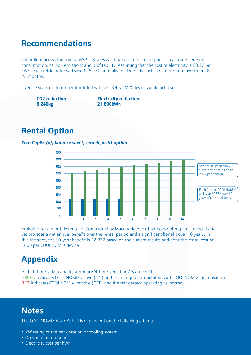## **Recommendations**

Full rollout across the company's 5 UK sites will have a significant impact on each site's energy consumption, carbon emissions and profitability. Assuming that the cost of electricity is £0.12 per kWh, each refrigerator will save £262.50 annually in electricity costs. The return on investment is 23 months.

Over 10 years each refrigerator fitted with a COOLNOMIX device would achieve:

**6,240kg 21,890kWh**

**CO2 reduction Electricity reduction**

## **Rental Option**

#### *Zero CapEx (off balance sheet, zero deposit) option*



Emissis offer a monthly rental option backed by Macquarie Bank that does not require a deposit and yet provides a net annual benefit over the rental period and a significant benefit over 10 years. In this instance, the 10-year benefit is £2,872 based on the current results and after the rental cost of £600 per COOLNOMIX device.

## **Appendix**

All half-hourly data and its summary '4-hourly readings' is attached. GREEN indicates COOLNOMIX active (ON) and the refrigerator operating with COOLNOMIX 'optimisation' RED Indicates COOLNOMIX inactive (OFF) and the refrigerator operating as 'normal'

### **Notes**

The COOLNOMIX device's ROI is dependent on the following criteria:

- KW rating of the refrigeration or cooling system
- Operational run hours
- Electricity cost per kWh